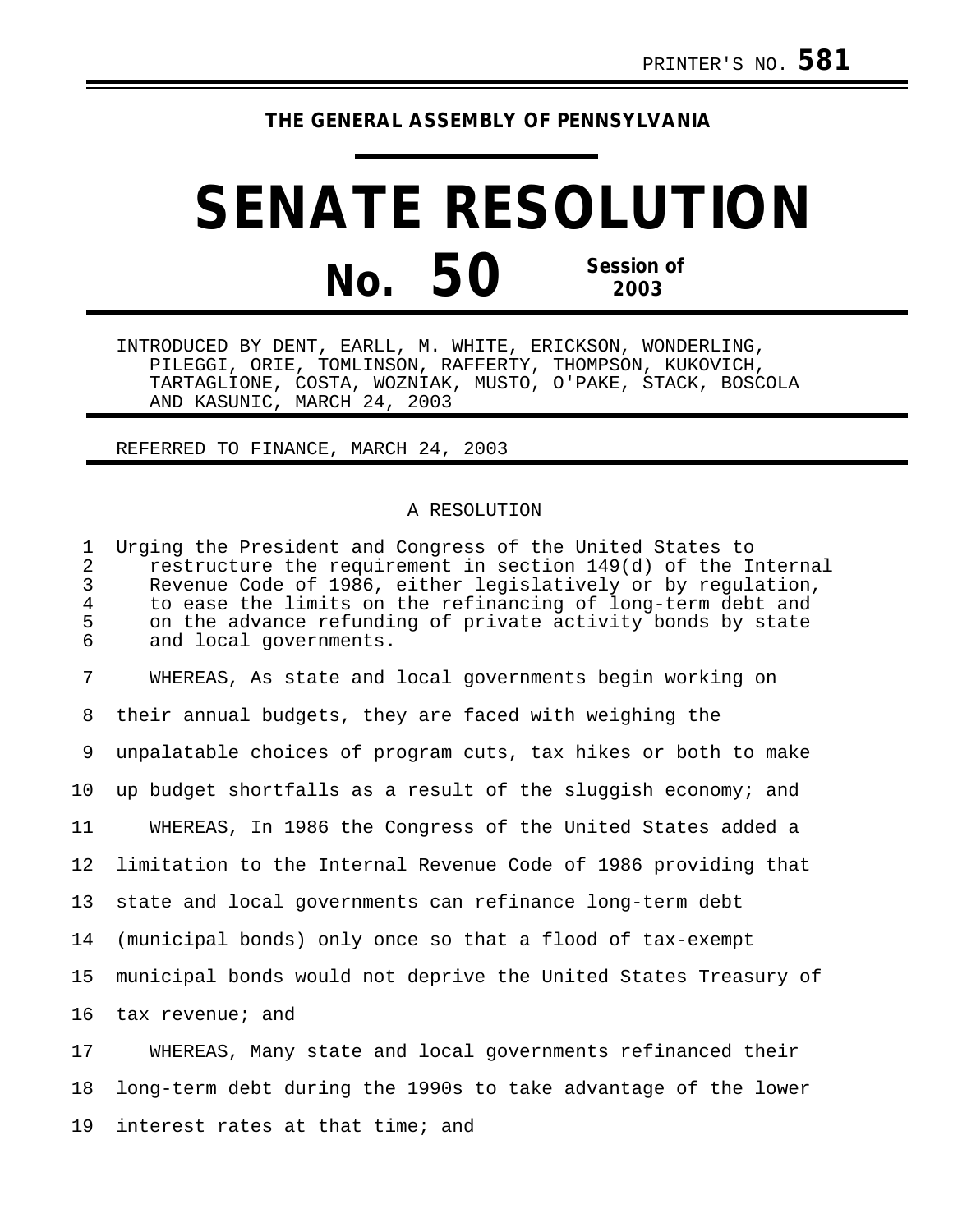## **THE GENERAL ASSEMBLY OF PENNSYLVANIA**

## **SENATE RESOLUTION No. 50 Session of 2003**

INTRODUCED BY DENT, EARLL, M. WHITE, ERICKSON, WONDERLING, PILEGGI, ORIE, TOMLINSON, RAFFERTY, THOMPSON, KUKOVICH, TARTAGLIONE, COSTA, WOZNIAK, MUSTO, O'PAKE, STACK, BOSCOLA AND KASUNIC, MARCH 24, 2003

## REFERRED TO FINANCE, MARCH 24, 2003

## A RESOLUTION

1 Urging the President and Congress of the United States to 2 restructure the requirement in section 149(d) of the Internal<br>3 Revenue Code of 1986, either legislatively or by regulation, Revenue Code of 1986, either legislatively or by regulation, 4 to ease the limits on the refinancing of long-term debt and 5 on the advance refunding of private activity bonds by state<br>6 and local governments. and local governments. 7 WHEREAS, As state and local governments begin working on 8 their annual budgets, they are faced with weighing the 9 unpalatable choices of program cuts, tax hikes or both to make 10 up budget shortfalls as a result of the sluggish economy; and 11 WHEREAS, In 1986 the Congress of the United States added a 12 limitation to the Internal Revenue Code of 1986 providing that 13 state and local governments can refinance long-term debt 14 (municipal bonds) only once so that a flood of tax-exempt 15 municipal bonds would not deprive the United States Treasury of 16 tax revenue; and 17 WHEREAS, Many state and local governments refinanced their 18 long-term debt during the 1990s to take advantage of the lower

19 interest rates at that time; and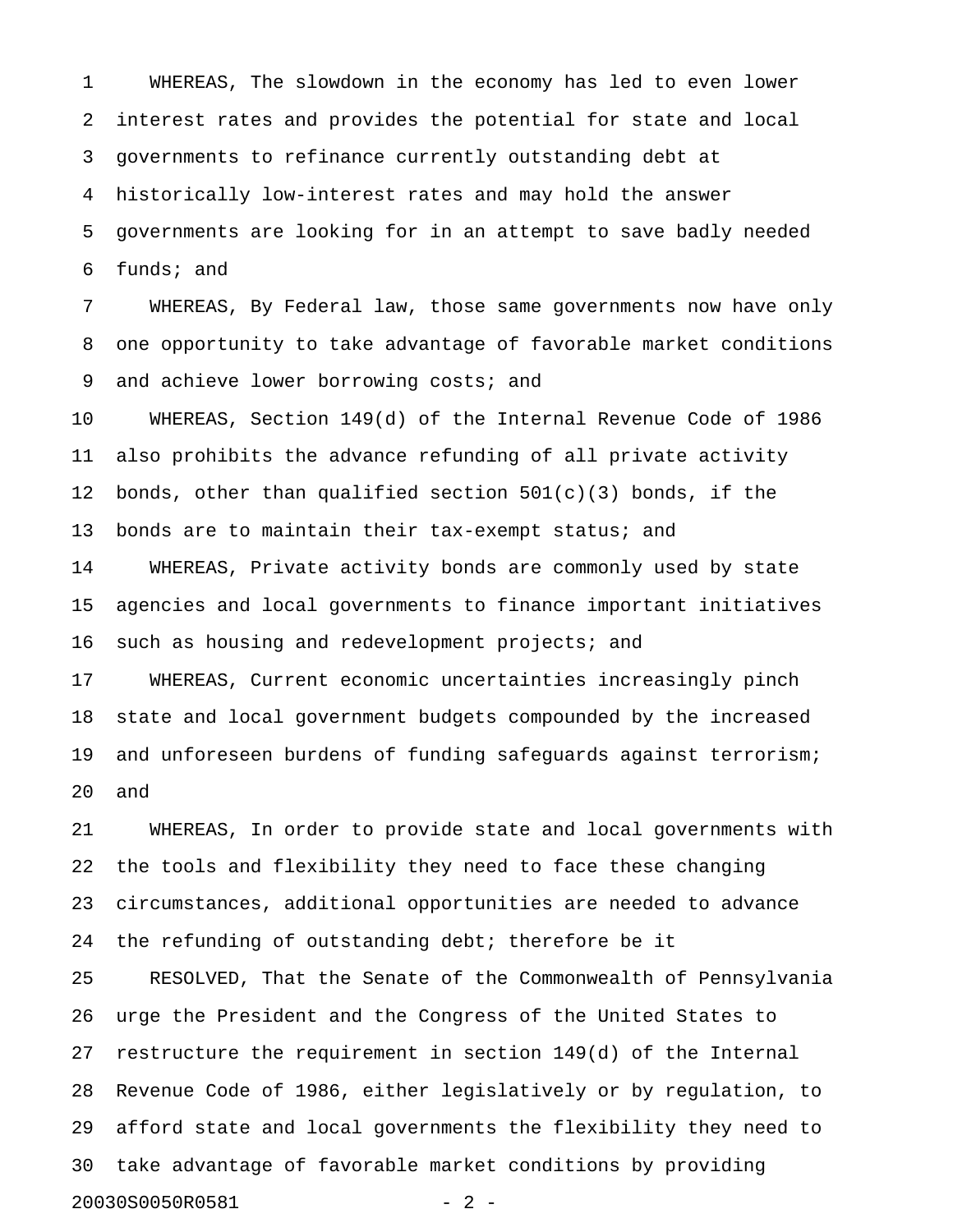1 WHEREAS, The slowdown in the economy has led to even lower 2 interest rates and provides the potential for state and local 3 governments to refinance currently outstanding debt at 4 historically low-interest rates and may hold the answer 5 governments are looking for in an attempt to save badly needed 6 funds; and

7 WHEREAS, By Federal law, those same governments now have only 8 one opportunity to take advantage of favorable market conditions 9 and achieve lower borrowing costs; and

10 WHEREAS, Section 149(d) of the Internal Revenue Code of 1986 11 also prohibits the advance refunding of all private activity 12 bonds, other than qualified section  $501(c)(3)$  bonds, if the 13 bonds are to maintain their tax-exempt status; and

14 WHEREAS, Private activity bonds are commonly used by state 15 agencies and local governments to finance important initiatives 16 such as housing and redevelopment projects; and

17 WHEREAS, Current economic uncertainties increasingly pinch 18 state and local government budgets compounded by the increased 19 and unforeseen burdens of funding safeguards against terrorism; 20 and

21 WHEREAS, In order to provide state and local governments with 22 the tools and flexibility they need to face these changing 23 circumstances, additional opportunities are needed to advance 24 the refunding of outstanding debt; therefore be it 25 RESOLVED, That the Senate of the Commonwealth of Pennsylvania 26 urge the President and the Congress of the United States to 27 restructure the requirement in section 149(d) of the Internal 28 Revenue Code of 1986, either legislatively or by regulation, to 29 afford state and local governments the flexibility they need to 30 take advantage of favorable market conditions by providing 20030S0050R0581 - 2 -